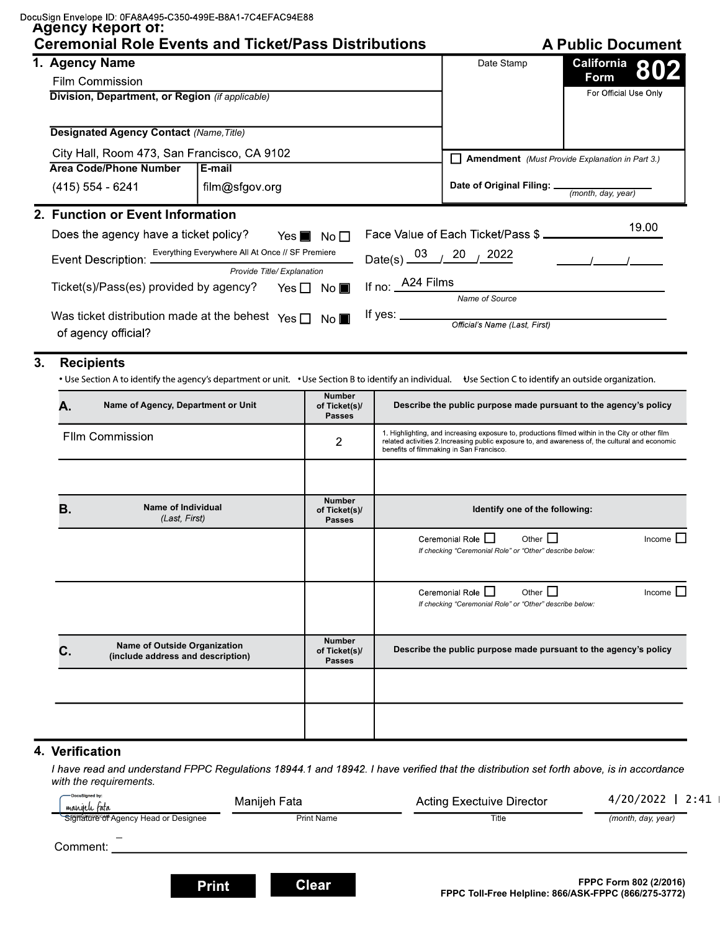| DocuSign Envelope ID: 0FA8A495-C350-499E-B8A1-7C4EFAC94E88 |
|------------------------------------------------------------|
|------------------------------------------------------------|

## **Agencia Report of:**

|    | <b>Ceremonial Role Events and Ticket/Pass Distributions</b><br>1. Agency Name                                                                                                   |                                                  |                                                 |                                   | Date Stamp                                                                                                                                                           | California |                       |
|----|---------------------------------------------------------------------------------------------------------------------------------------------------------------------------------|--------------------------------------------------|-------------------------------------------------|-----------------------------------|----------------------------------------------------------------------------------------------------------------------------------------------------------------------|------------|-----------------------|
|    |                                                                                                                                                                                 |                                                  |                                                 |                                   |                                                                                                                                                                      | Form       | 802                   |
|    | Film Commission<br>Division, Department, or Region (if applicable)                                                                                                              |                                                  |                                                 |                                   |                                                                                                                                                                      |            | For Official Use Only |
|    |                                                                                                                                                                                 |                                                  |                                                 |                                   |                                                                                                                                                                      |            |                       |
|    | <b>Designated Agency Contact (Name, Title)</b>                                                                                                                                  |                                                  |                                                 |                                   |                                                                                                                                                                      |            |                       |
|    |                                                                                                                                                                                 |                                                  |                                                 |                                   |                                                                                                                                                                      |            |                       |
|    | City Hall, Room 473, San Francisco, CA 9102                                                                                                                                     |                                                  |                                                 |                                   | <b>Amendment</b> (Must Provide Explanation in Part 3.)                                                                                                               |            |                       |
|    | <b>Area Code/Phone Number</b><br>l E-mail<br>(415) 554 - 6241<br>film@sfgov.org                                                                                                 |                                                  |                                                 |                                   |                                                                                                                                                                      |            |                       |
|    |                                                                                                                                                                                 |                                                  |                                                 |                                   | Date of Original Filing: _<br>(month, day, year)                                                                                                                     |            |                       |
|    | 2. Function or Event Information                                                                                                                                                |                                                  |                                                 |                                   |                                                                                                                                                                      |            |                       |
|    | Does the agency have a ticket policy?                                                                                                                                           | Yes $\blacksquare$                               | No <sub>1</sub>                                 |                                   | Face Value of Each Ticket/Pass \$                                                                                                                                    |            | 19.00                 |
|    | Event Description: _                                                                                                                                                            | Everything Everywhere All At Once // SF Premiere |                                                 | Date(s) $\frac{03}{2}$ 20         | 2022                                                                                                                                                                 |            |                       |
|    |                                                                                                                                                                                 | Provide Title/ Explanation                       |                                                 |                                   |                                                                                                                                                                      |            |                       |
|    | Ticket(s)/Pass(es) provided by agency?                                                                                                                                          |                                                  | Yes $\Box$ No                                   | If no: <u>A24</u> Films           |                                                                                                                                                                      |            |                       |
|    |                                                                                                                                                                                 |                                                  |                                                 |                                   | Name of Source                                                                                                                                                       |            |                       |
|    | Was ticket distribution made at the behest $\gamma_{\text{es}}$ $\Box$ No                                                                                                       |                                                  |                                                 | If yes: $\mathbf{\underline{\ }}$ | Official's Name (Last, First)                                                                                                                                        |            |                       |
|    | of agency official?                                                                                                                                                             |                                                  |                                                 |                                   |                                                                                                                                                                      |            |                       |
| 3. | <b>Recipients</b><br>• Use Section A to identify the agency's department or unit. • Use Section B to identify an individual. Use Section C to identify an outside organization. |                                                  |                                                 |                                   |                                                                                                                                                                      |            |                       |
|    | Name of Agency, Department or Unit<br>Α.<br><b>FIIm Commission</b>                                                                                                              |                                                  | <b>Number</b><br>of Ticket(s)/<br><b>Passes</b> |                                   | Describe the public purpose made pursuant to the agency's policy<br>1. Highlighting, and increasing exposure to, productions filmed within in the City or other film |            |                       |
|    |                                                                                                                                                                                 |                                                  | 2                                               |                                   | related activities 2. Increasing public exposure to, and awareness of, the cultural and economic<br>benefits of filmmaking in San Francisco.                         |            |                       |
|    | <b>Name of Individual</b><br>Β.<br>(Last, First)                                                                                                                                |                                                  | <b>Number</b><br>of Ticket(s)/<br><b>Passes</b> |                                   | Identify one of the following:                                                                                                                                       |            |                       |
|    |                                                                                                                                                                                 |                                                  |                                                 |                                   | Ceremonial Role  <br>Other $\Box$<br>If checking "Ceremonial Role" or "Other" describe below:                                                                        |            | Income                |
|    |                                                                                                                                                                                 |                                                  |                                                 |                                   | Ceremonial Role $\Box$<br>Other $\Box$<br>If checking "Ceremonial Role" or "Other" describe below:                                                                   |            | Income                |
|    | Name of Outside Organization<br>C.<br>(include address and description)                                                                                                         |                                                  | <b>Number</b><br>of Ticket(s)/<br><b>Passes</b> |                                   | Describe the public purpose made pursuant to the agency's policy                                                                                                     |            |                       |
|    |                                                                                                                                                                                 |                                                  |                                                 |                                   |                                                                                                                                                                      |            |                       |

## 4. Verification

I have read and understand FPPC Regulations 18944.1 and 18942. I have verified that the distribution set forth above, is in accordance with the requirements.

| -DocuSigned by:<br>' manjeli fata    | Manijeh Fata      | <b>Acting Exectuive Director</b>                            | $4/20/2022$ 2:41       |
|--------------------------------------|-------------------|-------------------------------------------------------------|------------------------|
| Signature of Agency Head or Designee | <b>Print Name</b> | Title                                                       | (month, day, year)     |
| Comment:                             |                   |                                                             |                        |
| <b>Print</b>                         | <b>Clear</b>      | <b>FPPC Toll-Free Helpline: 866/ASK-FPPC (866/275-3772)</b> | FPPC Form 802 (2/2016) |